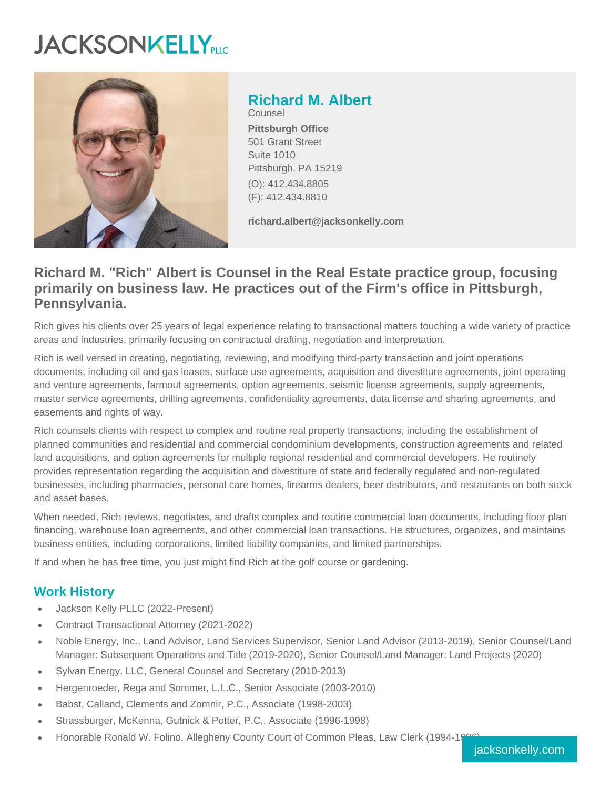# **JACKSONKELLY**



**Richard M. Albert** Counsel **Pittsburgh Office** 501 Grant Street Suite 1010 Pittsburgh, PA 15219

(O): 412.434.8805 (F): 412.434.8810

**richard.albert@jacksonkelly.com**

# **Richard M. "Rich" Albert is Counsel in the Real Estate practice group, focusing primarily on business law. He practices out of the Firm's office in Pittsburgh, Pennsylvania.**

Rich gives his clients over 25 years of legal experience relating to transactional matters touching a wide variety of practice areas and industries, primarily focusing on contractual drafting, negotiation and interpretation.

Rich is well versed in creating, negotiating, reviewing, and modifying third-party transaction and joint operations documents, including oil and gas leases, surface use agreements, acquisition and divestiture agreements, joint operating and venture agreements, farmout agreements, option agreements, seismic license agreements, supply agreements, master service agreements, drilling agreements, confidentiality agreements, data license and sharing agreements, and easements and rights of way.

Rich counsels clients with respect to complex and routine real property transactions, including the establishment of planned communities and residential and commercial condominium developments, construction agreements and related land acquisitions, and option agreements for multiple regional residential and commercial developers. He routinely provides representation regarding the acquisition and divestiture of state and federally regulated and non-regulated businesses, including pharmacies, personal care homes, firearms dealers, beer distributors, and restaurants on both stock and asset bases.

When needed, Rich reviews, negotiates, and drafts complex and routine commercial loan documents, including floor plan financing, warehouse loan agreements, and other commercial loan transactions. He structures, organizes, and maintains business entities, including corporations, limited liability companies, and limited partnerships.

If and when he has free time, you just might find Rich at the golf course or gardening.

## **Work History**

- Jackson Kelly PLLC (2022-Present)
- Contract Transactional Attorney (2021-2022)
- Noble Energy, Inc., Land Advisor, Land Services Supervisor, Senior Land Advisor (2013-2019), Senior Counsel/Land Manager: Subsequent Operations and Title (2019-2020), Senior Counsel/Land Manager: Land Projects (2020)
- Sylvan Energy, LLC, General Counsel and Secretary (2010-2013)
- Hergenroeder, Rega and Sommer, L.L.C., Senior Associate (2003-2010)
- Babst, Calland, Clements and Zomnir, P.C., Associate (1998-2003)
- Strassburger, McKenna, Gutnick & Potter, P.C., Associate (1996-1998)
- Honorable Ronald W. Folino, Allegheny County Court of Common Pleas, Law Clerk (1994-1996)